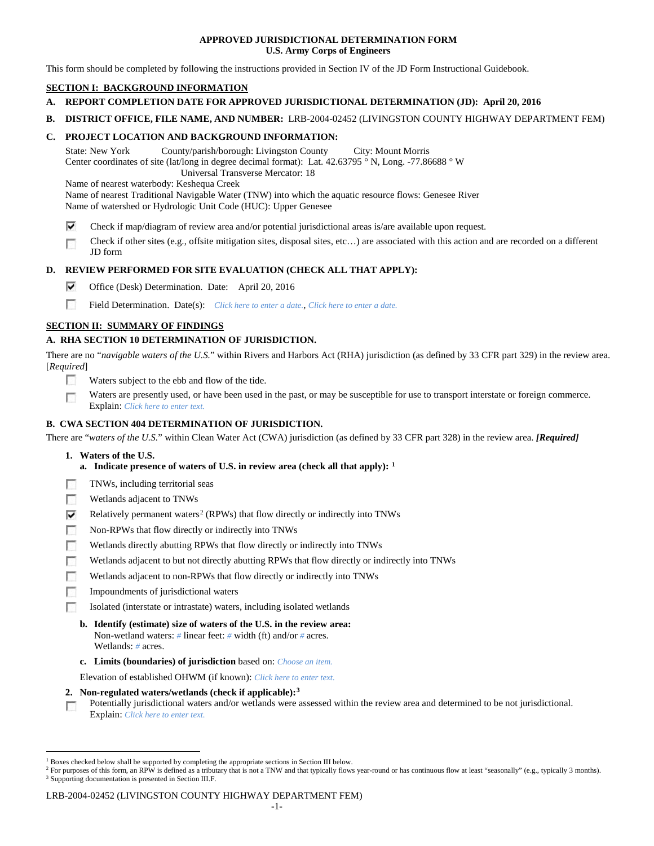## **APPROVED JURISDICTIONAL DETERMINATION FORM U.S. Army Corps of Engineers**

This form should be completed by following the instructions provided in Section IV of the JD Form Instructional Guidebook.

## **SECTION I: BACKGROUND INFORMATION**

- **A. REPORT COMPLETION DATE FOR APPROVED JURISDICTIONAL DETERMINATION (JD): April 20, 2016**
- **B. DISTRICT OFFICE, FILE NAME, AND NUMBER:** LRB-2004-02452 (LIVINGSTON COUNTY HIGHWAY DEPARTMENT FEM)

## **C. PROJECT LOCATION AND BACKGROUND INFORMATION:**

State: New York County/parish/borough: Livingston County City: Mount Morris Center coordinates of site (lat/long in degree decimal format): Lat. 42.63795 ° N, Long. -77.86688 ° W Universal Transverse Mercator: 18

Name of nearest waterbody: Keshequa Creek

Name of nearest Traditional Navigable Water (TNW) into which the aquatic resource flows: Genesee River Name of watershed or Hydrologic Unit Code (HUC): Upper Genesee

- ⊽ Check if map/diagram of review area and/or potential jurisdictional areas is/are available upon request.
- Check if other sites (e.g., offsite mitigation sites, disposal sites, etc…) are associated with this action and are recorded on a different п JD form

## **D. REVIEW PERFORMED FOR SITE EVALUATION (CHECK ALL THAT APPLY):**

- ⊽ Office (Desk) Determination. Date: April 20, 2016
- m Field Determination. Date(s): *Click here to enter a date.*, *Click here to enter a date.*

## **SECTION II: SUMMARY OF FINDINGS**

## **A. RHA SECTION 10 DETERMINATION OF JURISDICTION.**

There are no "*navigable waters of the U.S.*" within Rivers and Harbors Act (RHA) jurisdiction (as defined by 33 CFR part 329) in the review area. [*Required*]

- n Waters subject to the ebb and flow of the tide.
- Waters are presently used, or have been used in the past, or may be susceptible for use to transport interstate or foreign commerce. п Explain: *Click here to enter text.*

## **B. CWA SECTION 404 DETERMINATION OF JURISDICTION.**

There are "*waters of the U.S.*" within Clean Water Act (CWA) jurisdiction (as defined by 33 CFR part 328) in the review area. *[Required]*

- **1. Waters of the U.S.**
	- **a. Indicate presence of waters of U.S. in review area (check all that apply): [1](#page-0-0)**
- г TNWs, including territorial seas
- п Wetlands adjacent to TNWs
- Relatively permanent waters<sup>[2](#page-0-1)</sup> (RPWs) that flow directly or indirectly into TNWs ⊽
- г Non-RPWs that flow directly or indirectly into TNWs
- œ Wetlands directly abutting RPWs that flow directly or indirectly into TNWs
- Wetlands adjacent to but not directly abutting RPWs that flow directly or indirectly into TNWs г
- Wetlands adjacent to non-RPWs that flow directly or indirectly into TNWs г
- п Impoundments of jurisdictional waters
- n. Isolated (interstate or intrastate) waters, including isolated wetlands
	- **b. Identify (estimate) size of waters of the U.S. in the review area:** Non-wetland waters: *#* linear feet: *#* width (ft) and/or *#* acres. Wetlands: *#* acres.
	- **c. Limits (boundaries) of jurisdiction** based on: *Choose an item.*

Elevation of established OHWM (if known): *Click here to enter text.*

- **2. Non-regulated waters/wetlands (check if applicable):[3](#page-0-2)**
- Potentially jurisdictional waters and/or wetlands were assessed within the review area and determined to be not jurisdictional. п Explain: *Click here to enter text.*

### LRB-2004-02452 (LIVINGSTON COUNTY HIGHWAY DEPARTMENT FEM)

<span id="page-0-0"></span><sup>&</sup>lt;sup>1</sup> Boxes checked below shall be supported by completing the appropriate sections in Section III below.

<span id="page-0-2"></span><span id="page-0-1"></span><sup>&</sup>lt;sup>2</sup> For purposes of this form, an RPW is defined as a tributary that is not a TNW and that typically flows year-round or has continuous flow at least "seasonally" (e.g., typically 3 months). <sup>3</sup> Supporting documentation is presented in Section III.F.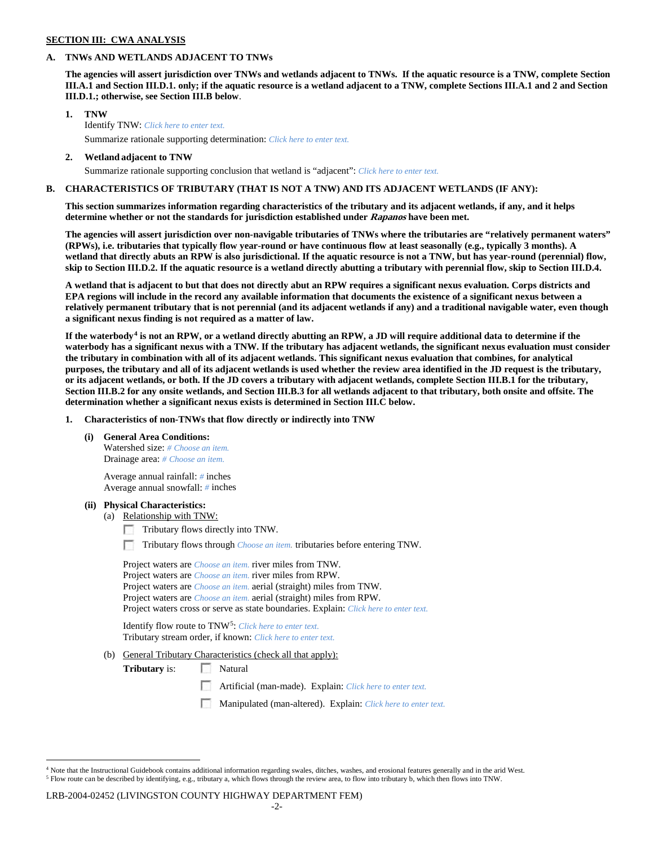### **SECTION III: CWA ANALYSIS**

## **A. TNWs AND WETLANDS ADJACENT TO TNWs**

**The agencies will assert jurisdiction over TNWs and wetlands adjacent to TNWs. If the aquatic resource is a TNW, complete Section III.A.1 and Section III.D.1. only; if the aquatic resource is a wetland adjacent to a TNW, complete Sections III.A.1 and 2 and Section III.D.1.; otherwise, see Section III.B below**.

- **1. TNW**  Identify TNW: *Click here to enter text.*
	- Summarize rationale supporting determination: *Click here to enter text.*
- **2. Wetland adjacent to TNW** Summarize rationale supporting conclusion that wetland is "adjacent": *Click here to enter text.*

## **B. CHARACTERISTICS OF TRIBUTARY (THAT IS NOT A TNW) AND ITS ADJACENT WETLANDS (IF ANY):**

**This section summarizes information regarding characteristics of the tributary and its adjacent wetlands, if any, and it helps determine whether or not the standards for jurisdiction established under Rapanos have been met.** 

**The agencies will assert jurisdiction over non-navigable tributaries of TNWs where the tributaries are "relatively permanent waters" (RPWs), i.e. tributaries that typically flow year-round or have continuous flow at least seasonally (e.g., typically 3 months). A wetland that directly abuts an RPW is also jurisdictional. If the aquatic resource is not a TNW, but has year-round (perennial) flow, skip to Section III.D.2. If the aquatic resource is a wetland directly abutting a tributary with perennial flow, skip to Section III.D.4.**

**A wetland that is adjacent to but that does not directly abut an RPW requires a significant nexus evaluation. Corps districts and EPA regions will include in the record any available information that documents the existence of a significant nexus between a relatively permanent tributary that is not perennial (and its adjacent wetlands if any) and a traditional navigable water, even though a significant nexus finding is not required as a matter of law.**

**If the waterbody[4](#page-1-0) is not an RPW, or a wetland directly abutting an RPW, a JD will require additional data to determine if the waterbody has a significant nexus with a TNW. If the tributary has adjacent wetlands, the significant nexus evaluation must consider the tributary in combination with all of its adjacent wetlands. This significant nexus evaluation that combines, for analytical purposes, the tributary and all of its adjacent wetlands is used whether the review area identified in the JD request is the tributary, or its adjacent wetlands, or both. If the JD covers a tributary with adjacent wetlands, complete Section III.B.1 for the tributary, Section III.B.2 for any onsite wetlands, and Section III.B.3 for all wetlands adjacent to that tributary, both onsite and offsite. The determination whether a significant nexus exists is determined in Section III.C below.**

**1. Characteristics of non-TNWs that flow directly or indirectly into TNW**

**(i) General Area Conditions:**

Watershed size: *# Choose an item.* Drainage area: *# Choose an item.*

Average annual rainfall: *#* inches Average annual snowfall: *#* inches

### **(ii) Physical Characteristics:**

- (a) Relationship with TNW:
	- Tributary flows directly into TNW.

n Tributary flows through *Choose an item.* tributaries before entering TNW.

Project waters are *Choose an item.* river miles from TNW. Project waters are *Choose an item.* river miles from RPW. Project waters are *Choose an item.* aerial (straight) miles from TNW. Project waters are *Choose an item.* aerial (straight) miles from RPW. Project waters cross or serve as state boundaries. Explain: *Click here to enter text.*

Identify flow route to TNW[5:](#page-1-1) *Click here to enter text.* Tributary stream order, if known: *Click here to enter text.*

(b) General Tributary Characteristics (check all that apply):

**Tributary** is: Natural

- $\sim$ Artificial (man-made). Explain: *Click here to enter text.*
- Manipulated (man-altered). Explain: *Click here to enter text.*

#### LRB-2004-02452 (LIVINGSTON COUNTY HIGHWAY DEPARTMENT FEM)

<span id="page-1-1"></span><span id="page-1-0"></span> $4$  Note that the Instructional Guidebook contains additional information regarding swales, ditches, washes, and erosional features generally and in the arid West. <sup>5</sup> Flow route can be described by identifying, e.g., tributary a, which flows through the review area, to flow into tributary b, which then flows into TNW.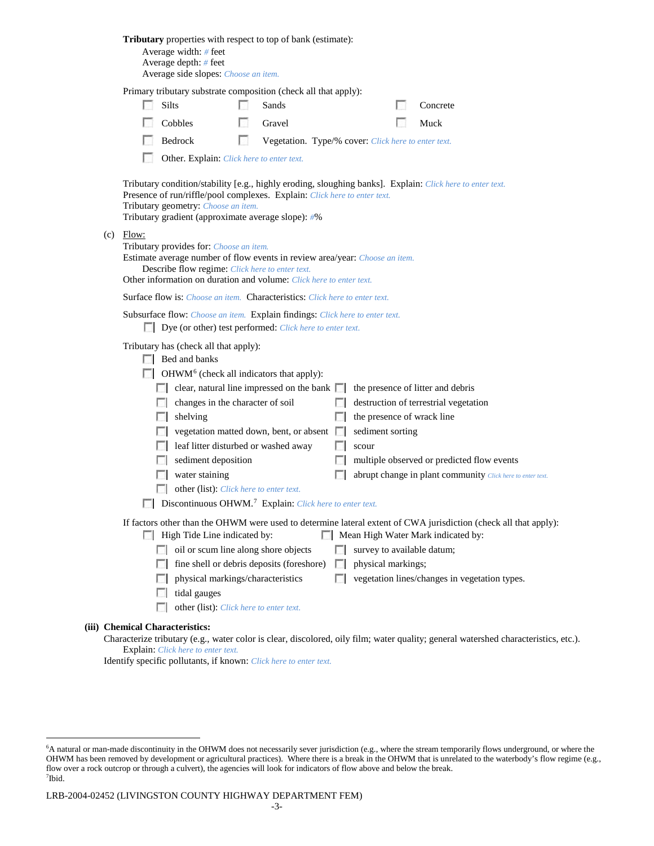|                                  | <b>Tributary</b> properties with respect to top of bank (estimate):<br>Average width: $#$ feet<br>Average depth: $#$ feet<br>Average side slopes: Choose an item.                                                                                |    |                                                     |                   |                    |                                                                                                                                                        |
|----------------------------------|--------------------------------------------------------------------------------------------------------------------------------------------------------------------------------------------------------------------------------------------------|----|-----------------------------------------------------|-------------------|--------------------|--------------------------------------------------------------------------------------------------------------------------------------------------------|
|                                  | Primary tributary substrate composition (check all that apply):                                                                                                                                                                                  |    |                                                     |                   |                    |                                                                                                                                                        |
|                                  | Silts                                                                                                                                                                                                                                            |    | Sands                                               |                   |                    | Concrete                                                                                                                                               |
|                                  | Cobbles                                                                                                                                                                                                                                          |    | Gravel                                              |                   |                    | Muck                                                                                                                                                   |
|                                  | Bedrock                                                                                                                                                                                                                                          | L. | Vegetation. Type/% cover: Click here to enter text. |                   |                    |                                                                                                                                                        |
|                                  | Other. Explain: Click here to enter text.                                                                                                                                                                                                        |    |                                                     |                   |                    |                                                                                                                                                        |
|                                  | Presence of run/riffle/pool complexes. Explain: Click here to enter text.<br>Tributary geometry: Choose an item.<br>Tributary gradient (approximate average slope): #%                                                                           |    |                                                     |                   |                    | Tributary condition/stability [e.g., highly eroding, sloughing banks]. Explain: Click here to enter text.                                              |
| $(c)$ Flow:                      | Tributary provides for: Choose an item.<br>Estimate average number of flow events in review area/year: Choose an item.<br>Describe flow regime: Click here to enter text.<br>Other information on duration and volume: Click here to enter text. |    |                                                     |                   |                    |                                                                                                                                                        |
|                                  | <b>Surface flow is:</b> <i>Choose an item.</i> <b>Characteristics:</b> <i>Click here to enter text.</i>                                                                                                                                          |    |                                                     |                   |                    |                                                                                                                                                        |
|                                  | Subsurface flow: Choose an item. Explain findings: Click here to enter text.<br>Dye (or other) test performed: Click here to enter text.                                                                                                         |    |                                                     |                   |                    |                                                                                                                                                        |
|                                  | Tributary has (check all that apply):<br>$\Box$ Bed and banks                                                                                                                                                                                    |    |                                                     |                   |                    |                                                                                                                                                        |
|                                  | $\Box$ OHWM <sup>6</sup> (check all indicators that apply):                                                                                                                                                                                      |    |                                                     |                   |                    |                                                                                                                                                        |
|                                  | $\Box$ clear, natural line impressed on the bank $\Box$                                                                                                                                                                                          |    |                                                     |                   |                    | the presence of litter and debris                                                                                                                      |
|                                  | changes in the character of soil                                                                                                                                                                                                                 |    |                                                     |                   |                    | destruction of terrestrial vegetation                                                                                                                  |
| L.                               | shelving                                                                                                                                                                                                                                         |    |                                                     |                   |                    | the presence of wrack line                                                                                                                             |
|                                  | vegetation matted down, bent, or absent                                                                                                                                                                                                          |    |                                                     |                   | sediment sorting   |                                                                                                                                                        |
|                                  | leaf litter disturbed or washed away                                                                                                                                                                                                             |    |                                                     |                   | scour              |                                                                                                                                                        |
|                                  | sediment deposition                                                                                                                                                                                                                              |    |                                                     |                   |                    | multiple observed or predicted flow events                                                                                                             |
|                                  | water staining                                                                                                                                                                                                                                   |    |                                                     |                   |                    | abrupt change in plant community Click here to enter text.                                                                                             |
|                                  | other (list): Click here to enter text.                                                                                                                                                                                                          |    |                                                     |                   |                    |                                                                                                                                                        |
|                                  | Discontinuous OHWM. <sup>7</sup> Explain: Click here to enter text.                                                                                                                                                                              |    |                                                     |                   |                    |                                                                                                                                                        |
|                                  | High Tide Line indicated by:                                                                                                                                                                                                                     |    |                                                     |                   |                    | If factors other than the OHWM were used to determine lateral extent of CWA jurisdiction (check all that apply):<br>Mean High Water Mark indicated by: |
| $\sim$                           | oil or scum line along shore objects                                                                                                                                                                                                             |    |                                                     |                   |                    | survey to available datum;                                                                                                                             |
| FЛ                               | fine shell or debris deposits (foreshore)                                                                                                                                                                                                        |    |                                                     | $\sim$            | physical markings; |                                                                                                                                                        |
| L.                               | physical markings/characteristics                                                                                                                                                                                                                |    |                                                     | <b>In the set</b> |                    | vegetation lines/changes in vegetation types.                                                                                                          |
|                                  | tidal gauges                                                                                                                                                                                                                                     |    |                                                     |                   |                    |                                                                                                                                                        |
|                                  | other (list): Click here to enter text.                                                                                                                                                                                                          |    |                                                     |                   |                    |                                                                                                                                                        |
| <b>Chemical Characteristics:</b> |                                                                                                                                                                                                                                                  |    |                                                     |                   |                    | Characterize tributary (e.g., water color is clear, discolored, oily film; water quality; general watershed characteristics, etc.).                    |

Explain: *Click here to enter text.*

**(iii)** 

Identify specific pollutants, if known: *Click here to enter text.*

<span id="page-2-1"></span>LRB-2004-02452 (LIVINGSTON COUNTY HIGHWAY DEPARTMENT FEM)

<span id="page-2-0"></span> <sup>6</sup> <sup>6</sup>A natural or man-made discontinuity in the OHWM does not necessarily sever jurisdiction (e.g., where the stream temporarily flows underground, or where the OHWM has been removed by development or agricultural practices). Where there is a break in the OHWM that is unrelated to the waterbody's flow regime (e.g., flow over a rock outcrop or through a culvert), the agencies will look for indicators of flow above and below the break. 7 Ibid.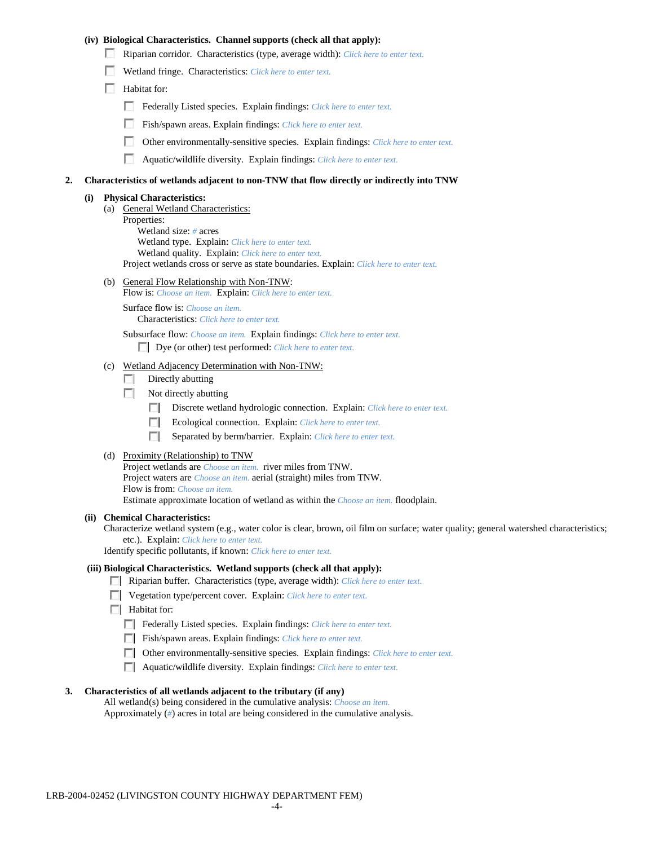## **(iv) Biological Characteristics. Channel supports (check all that apply):**

- Riparian corridor. Characteristics (type, average width): *Click here to enter text.*
- Wetland fringe. Characteristics: *Click here to enter text.*
- Habitat for:
	- Federally Listed species. Explain findings: *Click here to enter text.*
	- Fish/spawn areas. Explain findings: *Click here to enter text.*
	- п. Other environmentally-sensitive species. Explain findings: *Click here to enter text.*
	- n Aquatic/wildlife diversity. Explain findings: *Click here to enter text.*

#### **2. Characteristics of wetlands adjacent to non-TNW that flow directly or indirectly into TNW**

#### **(i) Physical Characteristics:**

- (a) General Wetland Characteristics:
	- Properties:

Wetland size: *#* acres Wetland type. Explain: *Click here to enter text.*

Wetland quality. Explain: *Click here to enter text.*

Project wetlands cross or serve as state boundaries. Explain: *Click here to enter text.*

(b) General Flow Relationship with Non-TNW: Flow is: *Choose an item.* Explain: *Click here to enter text.*

Surface flow is: *Choose an item.* Characteristics: *Click here to enter text.*

Subsurface flow: *Choose an item.* Explain findings: *Click here to enter text.*

Dye (or other) test performed: *Click here to enter text.*

#### (c) Wetland Adjacency Determination with Non-TNW:

- $\Box$  Directly abutting
- Not directly abutting
	- 100 Discrete wetland hydrologic connection. Explain: *Click here to enter text.*
	- Ecological connection. Explain: *Click here to enter text.* **The Contract of the Contract of the Contract of the Contract of the Contract of the Contract of the Contract of the Contract of the Contract of the Contract of the Contract of the Contract of the Contract of the Contract**
	- $\sim$ Separated by berm/barrier. Explain: *Click here to enter text.*
- (d) Proximity (Relationship) to TNW

Project wetlands are *Choose an item.* river miles from TNW. Project waters are *Choose an item.* aerial (straight) miles from TNW. Flow is from: *Choose an item.* Estimate approximate location of wetland as within the *Choose an item.* floodplain.

#### **(ii) Chemical Characteristics:**

Characterize wetland system (e.g., water color is clear, brown, oil film on surface; water quality; general watershed characteristics; etc.). Explain: *Click here to enter text.*

Identify specific pollutants, if known: *Click here to enter text.*

### **(iii) Biological Characteristics. Wetland supports (check all that apply):**

- Riparian buffer. Characteristics (type, average width): *Click here to enter text.*
- Vegetation type/percent cover. Explain: *Click here to enter text.*
- $\Box$  Habitat for:
	- Federally Listed species. Explain findings: *Click here to enter text*.
	- Fish/spawn areas. Explain findings: *Click here to enter text.*
	- Other environmentally-sensitive species. Explain findings: *Click here to enter text.*
	- Aquatic/wildlife diversity. Explain findings: *Click here to enter text.*

#### **3. Characteristics of all wetlands adjacent to the tributary (if any)**

All wetland(s) being considered in the cumulative analysis: *Choose an item.* Approximately (*#*) acres in total are being considered in the cumulative analysis.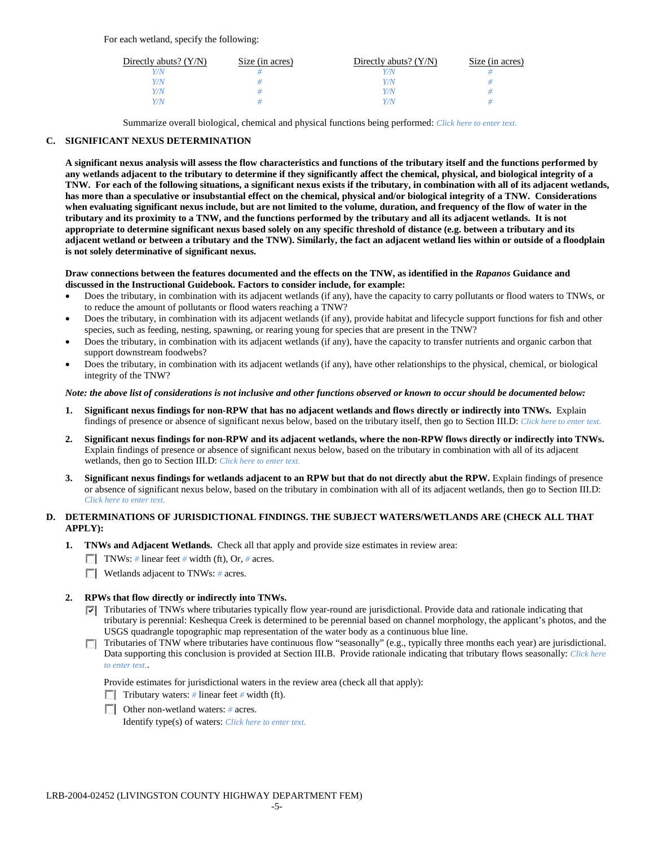For each wetland, specify the following:

| Directly abuts? $(Y/N)$ | Size (in acres) | Directly abuts? $(Y/N)$ | Size (in acres) |
|-------------------------|-----------------|-------------------------|-----------------|
|                         |                 | Y/N                     |                 |
| V/N                     |                 | Y/N                     |                 |
| V/N                     |                 | Y/N                     |                 |
|                         |                 | Y/N                     |                 |

Summarize overall biological, chemical and physical functions being performed: *Click here to enter text.*

## **C. SIGNIFICANT NEXUS DETERMINATION**

**A significant nexus analysis will assess the flow characteristics and functions of the tributary itself and the functions performed by any wetlands adjacent to the tributary to determine if they significantly affect the chemical, physical, and biological integrity of a TNW. For each of the following situations, a significant nexus exists if the tributary, in combination with all of its adjacent wetlands, has more than a speculative or insubstantial effect on the chemical, physical and/or biological integrity of a TNW. Considerations when evaluating significant nexus include, but are not limited to the volume, duration, and frequency of the flow of water in the tributary and its proximity to a TNW, and the functions performed by the tributary and all its adjacent wetlands. It is not appropriate to determine significant nexus based solely on any specific threshold of distance (e.g. between a tributary and its adjacent wetland or between a tributary and the TNW). Similarly, the fact an adjacent wetland lies within or outside of a floodplain is not solely determinative of significant nexus.** 

### **Draw connections between the features documented and the effects on the TNW, as identified in the** *Rapanos* **Guidance and discussed in the Instructional Guidebook. Factors to consider include, for example:**

- Does the tributary, in combination with its adjacent wetlands (if any), have the capacity to carry pollutants or flood waters to TNWs, or to reduce the amount of pollutants or flood waters reaching a TNW?
- Does the tributary, in combination with its adjacent wetlands (if any), provide habitat and lifecycle support functions for fish and other species, such as feeding, nesting, spawning, or rearing young for species that are present in the TNW?
- Does the tributary, in combination with its adjacent wetlands (if any), have the capacity to transfer nutrients and organic carbon that support downstream foodwebs?
- Does the tributary, in combination with its adjacent wetlands (if any), have other relationships to the physical, chemical, or biological integrity of the TNW?

## *Note: the above list of considerations is not inclusive and other functions observed or known to occur should be documented below:*

- **1. Significant nexus findings for non-RPW that has no adjacent wetlands and flows directly or indirectly into TNWs.** Explain findings of presence or absence of significant nexus below, based on the tributary itself, then go to Section III.D: *Click here to enter text.*
- **2. Significant nexus findings for non-RPW and its adjacent wetlands, where the non-RPW flows directly or indirectly into TNWs.**  Explain findings of presence or absence of significant nexus below, based on the tributary in combination with all of its adjacent wetlands, then go to Section III.D: *Click here to enter text.*
- **3. Significant nexus findings for wetlands adjacent to an RPW but that do not directly abut the RPW.** Explain findings of presence or absence of significant nexus below, based on the tributary in combination with all of its adjacent wetlands, then go to Section III.D: *Click here to enter text.*

## **D. DETERMINATIONS OF JURISDICTIONAL FINDINGS. THE SUBJECT WATERS/WETLANDS ARE (CHECK ALL THAT APPLY):**

- **1. TNWs and Adjacent Wetlands.** Check all that apply and provide size estimates in review area:
	- TNWs: *#* linear feet *#* width (ft), Or, *#* acres.
	- **Wetlands adjacent to TNWs:** # acres.

## **2. RPWs that flow directly or indirectly into TNWs.**

- $\nabla$  Tributaries of TNWs where tributaries typically flow year-round are jurisdictional. Provide data and rationale indicating that tributary is perennial: Keshequa Creek is determined to be perennial based on channel morphology, the applicant's photos, and the USGS quadrangle topographic map representation of the water body as a continuous blue line.
- Tributaries of TNW where tributaries have continuous flow "seasonally" (e.g., typically three months each year) are jurisdictional. Data supporting this conclusion is provided at Section III.B. Provide rationale indicating that tributary flows seasonally: *Click here to enter text.*.

Provide estimates for jurisdictional waters in the review area (check all that apply):

- Tributary waters: # linear feet # width (ft).
- Other non-wetland waters: *#* acres.

Identify type(s) of waters: *Click here to enter text.*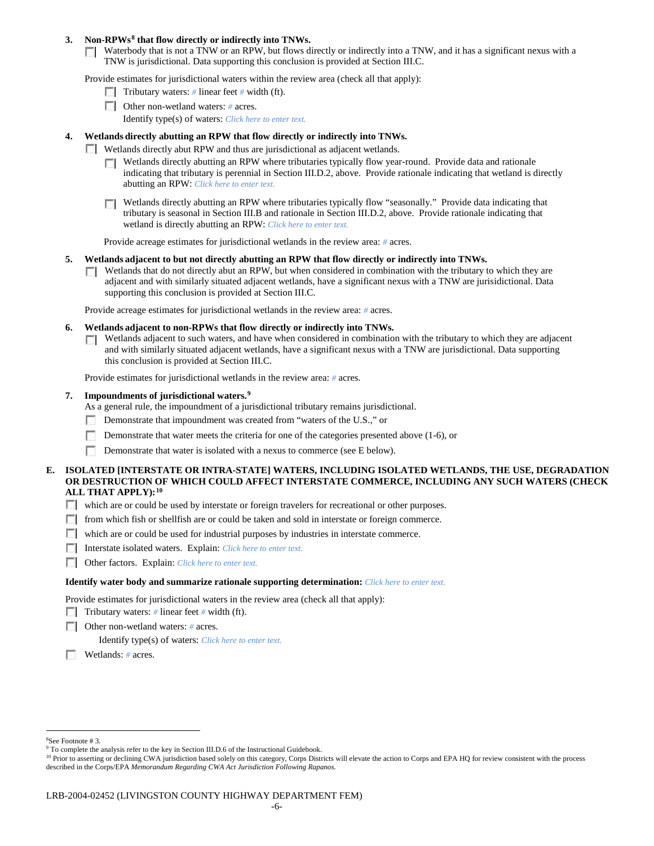### **3. Non-RPWs[8](#page-5-0) that flow directly or indirectly into TNWs.**

Waterbody that is not a TNW or an RPW, but flows directly or indirectly into a TNW, and it has a significant nexus with a TNW is jurisdictional. Data supporting this conclusion is provided at Section III.C.

Provide estimates for jurisdictional waters within the review area (check all that apply):

- **Tributary waters:** # linear feet # width (ft).
- Other non-wetland waters: *#* acres. Identify type(s) of waters: *Click here to enter text.*
- **4. Wetlands directly abutting an RPW that flow directly or indirectly into TNWs.**
	- **Wetlands directly abut RPW and thus are jurisdictional as adjacent wetlands.** 
		- $\Box$  Wetlands directly abutting an RPW where tributaries typically flow year-round. Provide data and rationale indicating that tributary is perennial in Section III.D.2, above. Provide rationale indicating that wetland is directly abutting an RPW: *Click here to enter text.*
		- Wetlands directly abutting an RPW where tributaries typically flow "seasonally." Provide data indicating that tributary is seasonal in Section III.B and rationale in Section III.D.2, above. Provide rationale indicating that wetland is directly abutting an RPW: *Click here to enter text.*

Provide acreage estimates for jurisdictional wetlands in the review area: *#* acres.

- **5. Wetlands adjacent to but not directly abutting an RPW that flow directly or indirectly into TNWs.**
	- $\Box$  Wetlands that do not directly abut an RPW, but when considered in combination with the tributary to which they are adjacent and with similarly situated adjacent wetlands, have a significant nexus with a TNW are jurisidictional. Data supporting this conclusion is provided at Section III.C.

Provide acreage estimates for jurisdictional wetlands in the review area: *#* acres.

- **6. Wetlands adjacent to non-RPWs that flow directly or indirectly into TNWs.** 
	- Wetlands adjacent to such waters, and have when considered in combination with the tributary to which they are adjacent Г. and with similarly situated adjacent wetlands, have a significant nexus with a TNW are jurisdictional. Data supporting this conclusion is provided at Section III.C.

Provide estimates for jurisdictional wetlands in the review area: *#* acres.

### **7. Impoundments of jurisdictional waters. [9](#page-5-1)**

As a general rule, the impoundment of a jurisdictional tributary remains jurisdictional.

- Demonstrate that impoundment was created from "waters of the U.S.," or
- Demonstrate that water meets the criteria for one of the categories presented above (1-6), or
- n Demonstrate that water is isolated with a nexus to commerce (see E below).
- **E. ISOLATED [INTERSTATE OR INTRA-STATE] WATERS, INCLUDING ISOLATED WETLANDS, THE USE, DEGRADATION OR DESTRUCTION OF WHICH COULD AFFECT INTERSTATE COMMERCE, INCLUDING ANY SUCH WATERS (CHECK ALL THAT APPLY):[10](#page-5-2)**
	- which are or could be used by interstate or foreign travelers for recreational or other purposes.
	- from which fish or shellfish are or could be taken and sold in interstate or foreign commerce.
	- which are or could be used for industrial purposes by industries in interstate commerce.
	- Interstate isolated waters.Explain: *Click here to enter text.*
	- Other factors.Explain: *Click here to enter text.*

#### **Identify water body and summarize rationale supporting determination:** *Click here to enter text.*

Provide estimates for jurisdictional waters in the review area (check all that apply):

- Tributary waters: # linear feet # width (ft).
- Other non-wetland waters: *#* acres.

Identify type(s) of waters: *Click here to enter text.*

Wetlands: *#* acres.

 $\frac{1}{8}$ See Footnote # 3.

<span id="page-5-1"></span><span id="page-5-0"></span><sup>&</sup>lt;sup>9</sup> To complete the analysis refer to the key in Section III.D.6 of the Instructional Guidebook.

<span id="page-5-2"></span><sup>&</sup>lt;sup>10</sup> Prior to asserting or declining CWA jurisdiction based solely on this category, Corps Districts will elevate the action to Corps and EPA HQ for review consistent with the process described in the Corps/EPA *Memorandum Regarding CWA Act Jurisdiction Following Rapanos.*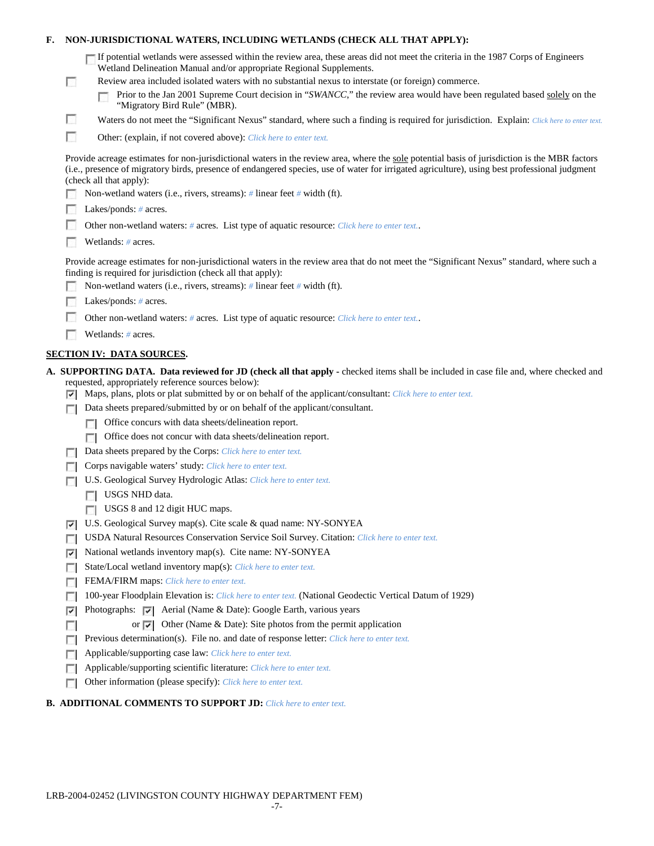| F. |        | NON-JURISDICTIONAL WATERS, INCLUDING WETLANDS (CHECK ALL THAT APPLY):                                                                                                                                                                                                                                                                                                                                                                                                     |
|----|--------|---------------------------------------------------------------------------------------------------------------------------------------------------------------------------------------------------------------------------------------------------------------------------------------------------------------------------------------------------------------------------------------------------------------------------------------------------------------------------|
|    | L.     | If potential wetlands were assessed within the review area, these areas did not meet the criteria in the 1987 Corps of Engineers<br>Wetland Delineation Manual and/or appropriate Regional Supplements.<br>Review area included isolated waters with no substantial nexus to interstate (or foreign) commerce.<br>Prior to the Jan 2001 Supreme Court decision in "SWANCC," the review area would have been regulated based solely on the<br>"Migratory Bird Rule" (MBR). |
|    | B      | Waters do not meet the "Significant Nexus" standard, where such a finding is required for jurisdiction. Explain: Click here to enter text.                                                                                                                                                                                                                                                                                                                                |
|    | г      | Other: (explain, if not covered above): Click here to enter text.                                                                                                                                                                                                                                                                                                                                                                                                         |
|    |        | Provide acreage estimates for non-jurisdictional waters in the review area, where the sole potential basis of jurisdiction is the MBR factors<br>(i.e., presence of migratory birds, presence of endangered species, use of water for irrigated agriculture), using best professional judgment<br>(check all that apply):<br>Non-wetland waters (i.e., rivers, streams): $\#$ linear feet $\#$ width (ft).                                                                |
|    |        | Lakes/ponds: $# \, \text{acres.}$                                                                                                                                                                                                                                                                                                                                                                                                                                         |
|    |        | Other non-wetland waters: # acres. List type of aquatic resource: Click here to enter text                                                                                                                                                                                                                                                                                                                                                                                |
|    |        |                                                                                                                                                                                                                                                                                                                                                                                                                                                                           |
|    |        | Wetlands: # acres.                                                                                                                                                                                                                                                                                                                                                                                                                                                        |
|    |        | Provide acreage estimates for non-jurisdictional waters in the review area that do not meet the "Significant Nexus" standard, where such a<br>finding is required for jurisdiction (check all that apply):                                                                                                                                                                                                                                                                |
|    |        | Non-wetland waters (i.e., rivers, streams): $\#$ linear feet $\#$ width (ft).                                                                                                                                                                                                                                                                                                                                                                                             |
|    |        | Lakes/ponds: $# \, \text{acres.}$                                                                                                                                                                                                                                                                                                                                                                                                                                         |
|    |        | Other non-wetland waters: # acres. List type of aquatic resource: Click here to enter text                                                                                                                                                                                                                                                                                                                                                                                |
|    |        | Wetlands: # acres.                                                                                                                                                                                                                                                                                                                                                                                                                                                        |
|    |        | <b>SECTION IV: DATA SOURCES.</b>                                                                                                                                                                                                                                                                                                                                                                                                                                          |
|    |        |                                                                                                                                                                                                                                                                                                                                                                                                                                                                           |
|    | ⊽      | A. SUPPORTING DATA. Data reviewed for JD (check all that apply - checked items shall be included in case file and, where checked and<br>requested, appropriately reference sources below):<br>Maps, plans, plots or plat submitted by or on behalf of the applicant/consultant: Click here to enter text.                                                                                                                                                                 |
|    |        | Data sheets prepared/submitted by or on behalf of the applicant/consultant.                                                                                                                                                                                                                                                                                                                                                                                               |
|    |        | Office concurs with data sheets/delineation report.<br>п                                                                                                                                                                                                                                                                                                                                                                                                                  |
|    |        | Office does not concur with data sheets/delineation report.<br>n                                                                                                                                                                                                                                                                                                                                                                                                          |
|    |        | Data sheets prepared by the Corps: Click here to enter text.                                                                                                                                                                                                                                                                                                                                                                                                              |
|    |        | Corps navigable waters' study: Click here to enter text.                                                                                                                                                                                                                                                                                                                                                                                                                  |
|    |        | U.S. Geological Survey Hydrologic Atlas: Click here to enter text.                                                                                                                                                                                                                                                                                                                                                                                                        |
|    |        | USGS NHD data.                                                                                                                                                                                                                                                                                                                                                                                                                                                            |
|    |        | USGS 8 and 12 digit HUC maps.                                                                                                                                                                                                                                                                                                                                                                                                                                             |
|    | ×.     | U.S. Geological Survey map(s). Cite scale & quad name: NY-SONYEA                                                                                                                                                                                                                                                                                                                                                                                                          |
|    | $\sim$ | USDA Natural Resources Conservation Service Soil Survey. Citation: Click here to enter text.                                                                                                                                                                                                                                                                                                                                                                              |
|    | ⊽      | National wetlands inventory map(s). Cite name: NY-SONYEA                                                                                                                                                                                                                                                                                                                                                                                                                  |
|    | п      | State/Local wetland inventory map(s): Click here to enter text.                                                                                                                                                                                                                                                                                                                                                                                                           |
|    | n      | FEMA/FIRM maps: Click here to enter text.                                                                                                                                                                                                                                                                                                                                                                                                                                 |
|    | п      | 100-year Floodplain Elevation is: Click here to enter text. (National Geodectic Vertical Datum of 1929)                                                                                                                                                                                                                                                                                                                                                                   |
|    | ⊽      | Photographs: $\triangledown$ Aerial (Name & Date): Google Earth, various years                                                                                                                                                                                                                                                                                                                                                                                            |
|    | п      | Other (Name & Date): Site photos from the permit application<br>or $ \nabla $                                                                                                                                                                                                                                                                                                                                                                                             |
|    | г      | Previous determination(s). File no. and date of response letter: Click here to enter text.                                                                                                                                                                                                                                                                                                                                                                                |
|    | o      | Applicable/supporting case law: Click here to enter text.                                                                                                                                                                                                                                                                                                                                                                                                                 |
|    | п      | Applicable/supporting scientific literature: Click here to enter text.                                                                                                                                                                                                                                                                                                                                                                                                    |

# **B. ADDITIONAL COMMENTS TO SUPPORT JD:** *Click here to enter text.*